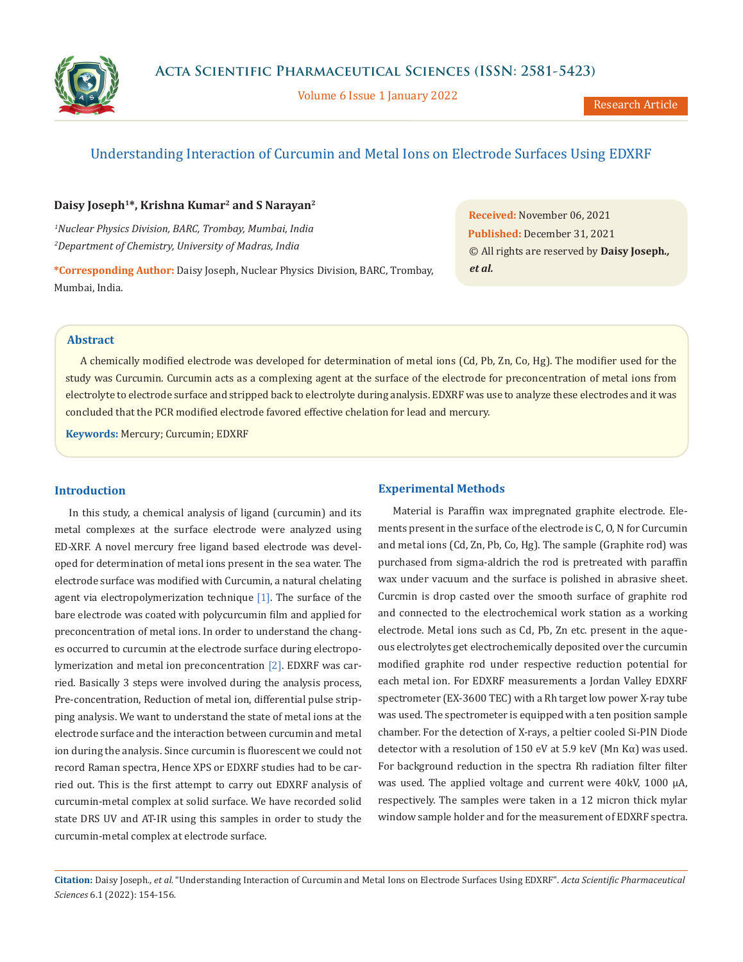Volume 6 Issue 1 January 2022

# Understanding Interaction of Curcumin and Metal Ions on Electrode Surfaces Using EDXRF

# **Daisy Joseph1\*, Krishna Kumar2 and S Narayan2**

*1 Nuclear Physics Division, BARC, Trombay, Mumbai, India 2 Department of Chemistry, University of Madras, India*

**\*Corresponding Author:** Daisy Joseph, Nuclear Physics Division, BARC, Trombay, Mumbai, India.

**Received:** November 06, 2021 **Published:** December 31, 2021 © All rights are reserved by **Daisy Joseph***., et al.*

#### **Abstract**

A chemically modified electrode was developed for determination of metal ions (Cd, Pb, Zn, Co, Hg). The modifier used for the study was Curcumin. Curcumin acts as a complexing agent at the surface of the electrode for preconcentration of metal ions from electrolyte to electrode surface and stripped back to electrolyte during analysis. EDXRF was use to analyze these electrodes and it was concluded that the PCR modified electrode favored effective chelation for lead and mercury.

**Keywords:** Mercury; Curcumin; EDXRF

## **Introduction**

In this study, a chemical analysis of ligand (curcumin) and its metal complexes at the surface electrode were analyzed using ED-XRF. A novel mercury free ligand based electrode was developed for determination of metal ions present in the sea water. The electrode surface was modified with Curcumin, a natural chelating agent via electropolymerization technique [1]. The surface of the bare electrode was coated with polycurcumin film and applied for preconcentration of metal ions. In order to understand the changes occurred to curcumin at the electrode surface during electropolymerization and metal ion preconcentration [2]. EDXRF was carried. Basically 3 steps were involved during the analysis process, Pre-concentration, Reduction of metal ion, differential pulse stripping analysis. We want to understand the state of metal ions at the electrode surface and the interaction between curcumin and metal ion during the analysis. Since curcumin is fluorescent we could not record Raman spectra, Hence XPS or EDXRF studies had to be carried out. This is the first attempt to carry out EDXRF analysis of curcumin-metal complex at solid surface. We have recorded solid state DRS UV and AT-IR using this samples in order to study the curcumin-metal complex at electrode surface.

# **Experimental Methods**

Material is Paraffin wax impregnated graphite electrode. Elements present in the surface of the electrode is C, O, N for Curcumin and metal ions (Cd, Zn, Pb, Co, Hg). The sample (Graphite rod) was purchased from sigma-aldrich the rod is pretreated with paraffin wax under vacuum and the surface is polished in abrasive sheet. Curcmin is drop casted over the smooth surface of graphite rod and connected to the electrochemical work station as a working electrode. Metal ions such as Cd, Pb, Zn etc. present in the aqueous electrolytes get electrochemically deposited over the curcumin modified graphite rod under respective reduction potential for each metal ion. For EDXRF measurements a Jordan Valley EDXRF spectrometer (EX-3600 TEC) with a Rh target low power X-ray tube was used. The spectrometer is equipped with a ten position sample chamber. For the detection of X-rays, a peltier cooled Si-PIN Diode detector with a resolution of 150 eV at 5.9 keV (Mn Kα) was used. For background reduction in the spectra Rh radiation filter filter was used. The applied voltage and current were 40kV, 1000 µA, respectively. The samples were taken in a 12 micron thick mylar window sample holder and for the measurement of EDXRF spectra.

**Citation:** Daisy Joseph*., et al.* "Understanding Interaction of Curcumin and Metal Ions on Electrode Surfaces Using EDXRF". *Acta Scientific Pharmaceutical Sciences* 6.1 (2022): 154-156.

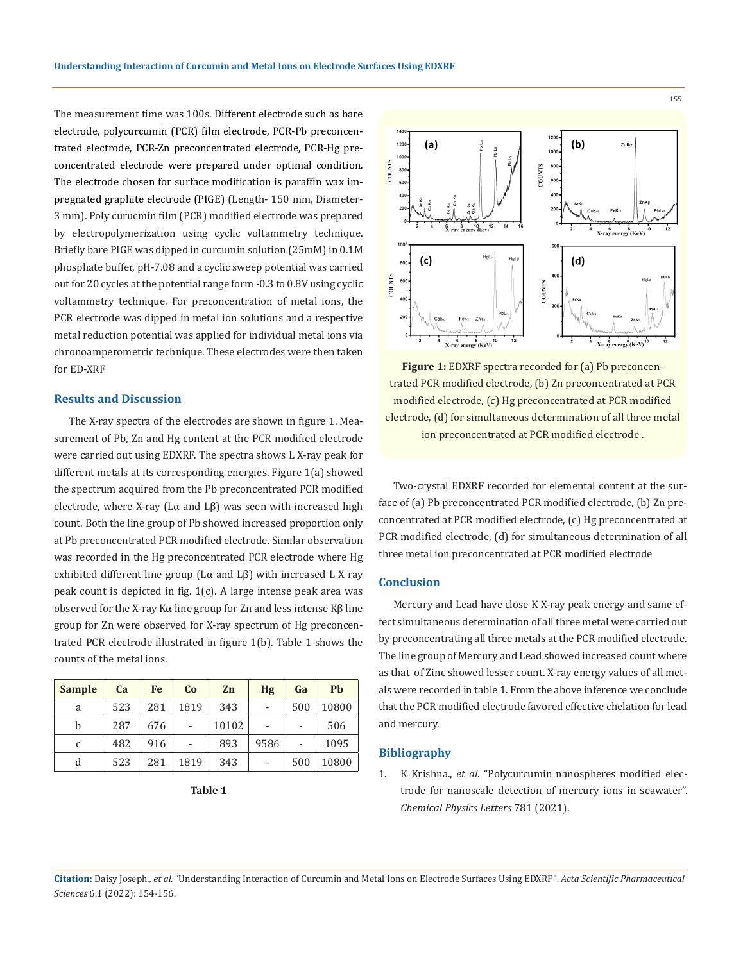The measurement time was 100s. Different electrode such as bare electrode, polycurcumin (PCR) film electrode, PCR-Pb preconcentrated electrode, PCR-Zn preconcentrated electrode, PCR-Hg preconcentrated electrode were prepared under optimal condition. The electrode chosen for surface modification is paraffin wax impregnated graphite electrode (PIGE) (Length- 150 mm, Diameter-3 mm). Poly curucmin film (PCR) modified electrode was prepared by electropolymerization using cyclic voltammetry technique. Briefly bare PIGE was dipped in curcumin solution (25mM) in 0.1M phosphate buffer, pH-7.08 and a cyclic sweep potential was carried out for 20 cycles at the potential range form -0.3 to 0.8V using cyclic voltammetry technique. For preconcentration of metal ions, the PCR electrode was dipped in metal ion solutions and a respective metal reduction potential was applied for individual metal ions via chronoamperometric technique. These electrodes were then taken for ED-XRF

## **Results and Discussion**

The X-ray spectra of the electrodes are shown in figure 1. Measurement of Pb, Zn and Hg content at the PCR modified electrode were carried out using EDXRF. The spectra shows L X-ray peak for different metals at its corresponding energies. Figure 1(a) showed the spectrum acquired from the Pb preconcentrated PCR modified electrode, where X-ray (L $\alpha$  and L $\beta$ ) was seen with increased high count. Both the line group of Pb showed increased proportion only at Pb preconcentrated PCR modified electrode. Similar observation was recorded in the Hg preconcentrated PCR electrode where Hg exhibited different line group (Lα and Lβ) with increased L X ray peak count is depicted in fig. 1(c). A large intense peak area was observed for the X-ray Kα line group for Zn and less intense Kβ line group for Zn were observed for X-ray spectrum of Hg preconcentrated PCR electrode illustrated in figure 1(b). Table 1 shows the counts of the metal ions.

| <b>Sample</b> | Ca  | Fe  | Co   | Zn    | Hg                       | Ga                       | Pb    |
|---------------|-----|-----|------|-------|--------------------------|--------------------------|-------|
| a             | 523 | 281 | 1819 | 343   |                          | 500                      | 10800 |
| b             | 287 | 676 | ٠    | 10102 | $\overline{\phantom{a}}$ | $\overline{\phantom{0}}$ | 506   |
| $\mathcal{C}$ | 482 | 916 | ٠    | 893   | 9586                     |                          | 1095  |
| d             | 523 | 281 | 1819 | 343   |                          | 500                      | 10800 |





**Figure 1:** EDXRF spectra recorded for (a) Pb preconcentrated PCR modified electrode, (b) Zn preconcentrated at PCR modified electrode, (c) Hg preconcentrated at PCR modified electrode, (d) for simultaneous determination of all three metal ion preconcentrated at PCR modified electrode .

Two-crystal EDXRF recorded for elemental content at the surface of (a) Pb preconcentrated PCR modified electrode, (b) Zn preconcentrated at PCR modified electrode, (c) Hg preconcentrated at PCR modified electrode, (d) for simultaneous determination of all three metal ion preconcentrated at PCR modified electrode

#### **Conclusion**

Mercury and Lead have close K X-ray peak energy and same effect simultaneous determination of all three metal were carried out by preconcentrating all three metals at the PCR modified electrode. The line group of Mercury and Lead showed increased count where as that of Zinc showed lesser count. X-ray energy values of all metals were recorded in table 1. From the above inference we conclude that the PCR modified electrode favored effective chelation for lead and mercury.

#### **Bibliography**

1. K Krishna., *et al*[. "Polycurcumin nanospheres modified elec](https://www.sciencedirect.com/science/article/abs/pii/S0009261421006576)[trode for nanoscale detection of mercury ions in seawater".](https://www.sciencedirect.com/science/article/abs/pii/S0009261421006576) *[Chemical Physics Letters](https://www.sciencedirect.com/science/article/abs/pii/S0009261421006576)* 781 (2021).

**Citation:** Daisy Joseph*., et al.* "Understanding Interaction of Curcumin and Metal Ions on Electrode Surfaces Using EDXRF". *Acta Scientific Pharmaceutical Sciences* 6.1 (2022): 154-156.